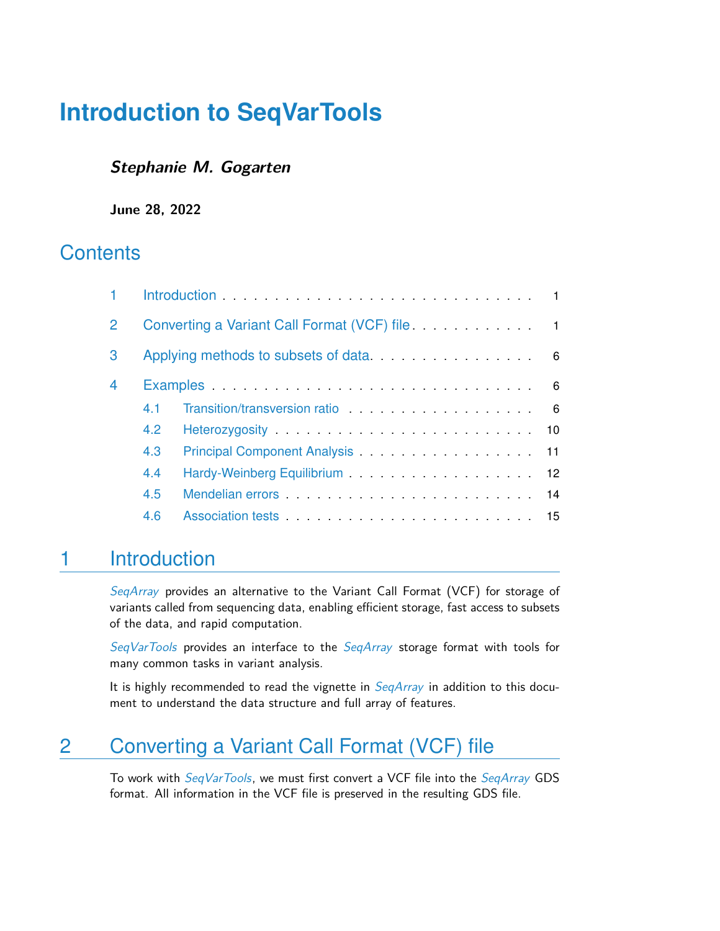### **Stephanie M. Gogarten**

**June 28, 2022**

# **Contents**

| Converting a Variant Call Format (VCF) file <b>CONVERTING 1</b>                                                                                                                                                                |                                                                                                                                                                                                                                |  |  |  |
|--------------------------------------------------------------------------------------------------------------------------------------------------------------------------------------------------------------------------------|--------------------------------------------------------------------------------------------------------------------------------------------------------------------------------------------------------------------------------|--|--|--|
|                                                                                                                                                                                                                                |                                                                                                                                                                                                                                |  |  |  |
| Examples examples and the contract of the contract of the contract of the contract of the contract of the contract of the contract of the contract of the contract of the contract of the contract of the contract of the cont |                                                                                                                                                                                                                                |  |  |  |
| 4 <sub>1</sub>                                                                                                                                                                                                                 | Transition/transversion ratio entering and the set of the set of the set of the set of the set of the set of the set of the set of the set of the set of the set of the set of the set of the set of the set of the set of the |  |  |  |
| 4.2                                                                                                                                                                                                                            |                                                                                                                                                                                                                                |  |  |  |
| 4.3                                                                                                                                                                                                                            |                                                                                                                                                                                                                                |  |  |  |
| 4.4                                                                                                                                                                                                                            |                                                                                                                                                                                                                                |  |  |  |
| 4.5                                                                                                                                                                                                                            | Mendelian errors expansion and the Mendelian errors of the contract of the Mendelian errors of the Mendelian errors of the Mendelian errors of the Mendelian errors of the Mendelian errors of the Mendelian errors of the Men |  |  |  |
| 4.6                                                                                                                                                                                                                            |                                                                                                                                                                                                                                |  |  |  |
|                                                                                                                                                                                                                                |                                                                                                                                                                                                                                |  |  |  |

# <span id="page-0-0"></span>1 Introduction

[SeqArray](http://bioconductor.org/packages/SeqArray) provides an alternative to the Variant Call Format (VCF) for storage of variants called from sequencing data, enabling efficient storage, fast access to subsets of the data, and rapid computation.

[SeqVarTools](http://bioconductor.org/packages/SeqVarTools) provides an interface to the [SeqArray](http://bioconductor.org/packages/SeqArray) storage format with tools for many common tasks in variant analysis.

<span id="page-0-1"></span>It is highly recommended to read the vignette in  $SeqArray$  in addition to this document to understand the data structure and full array of features.

# 2 Converting a Variant Call Format (VCF) file

To work with [SeqVarTools](http://bioconductor.org/packages/SeqVarTools), we must first convert a VCF file into the SegArray GDS format. All information in the VCF file is preserved in the resulting GDS file.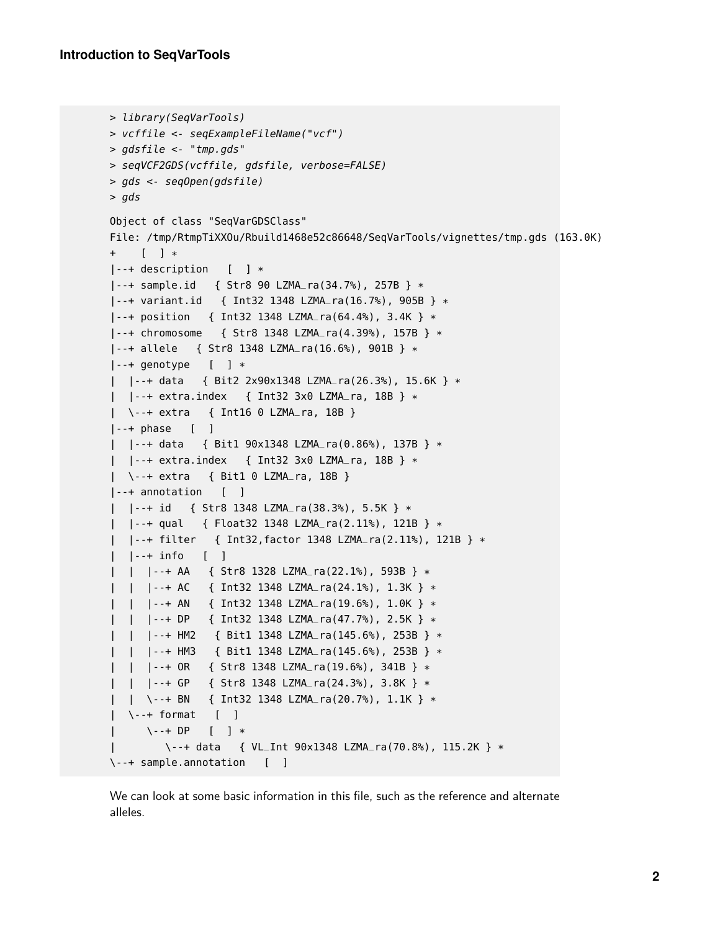```
> library(SeqVarTools)
> vcffile <- seqExampleFileName("vcf")
> gdsfile <- "tmp.gds"
> seqVCF2GDS(vcffile, gdsfile, verbose=FALSE)
> gds <- seqOpen(gdsfile)
> gds
Object of class "SeqVarGDSClass"
File: /tmp/RtmpTiXXOu/Rbuild1468e52c86648/SeqVarTools/vignettes/tmp.gds (163.0K)
+ [ ] *
|--+ description [ ] *
|--+ sample.id { Str8 90 LZMA_ra(34.7%), 257B } *
|--+ variant.id { Int32 1348 LZMA_ra(16.7%), 905B } *
|--+ position { Int32 1348 LZMA_ra(64.4%), 3.4K } *
|--+ chromosome { Str8 1348 LZMA_ra(4.39%), 157B } *
|--+ allele { Str8 1348 LZMA_ra(16.6%), 901B } *
\left| \cdot \cdot \cdot \right| genotype \left[ \quad \right] *
| |--+ data { Bit2 2x90x1348 LZMA_ra(26.3%), 15.6K } *
| |--+ extra.index { Int32 3x0 LZMA_ra, 18B } *
| \--+ extra { Int16 0 LZMA_ra, 18B }
|--+ phase [ ]
| |--+ data { Bit1 90x1348 LZMA_ra(0.86%), 137B } *
| |--+ extra.index { Int32 3x0 LZMA_ra, 18B } *
| \--+ extra { Bit1 0 LZMA_ra, 18B }
|--+ annotation [ ]
| |--+ id { Str8 1348 LZMA_ra(38.3%), 5.5K } *
| |--+ qual { Float32 1348 LZMA_ra(2.11%), 121B } *
| |--+ filter { Int32,factor 1348 LZMA_ra(2.11%), 121B } *
| |--+ info [ ]
 | | |--+ AA { Str8 1328 LZMA_ra(22.1%), 593B } *
 | | |--+ AC { Int32 1348 LZMA_ra(24.1%), 1.3K } *
 | | |--+ AN { Int32 1348 LZMA_ra(19.6%), 1.0K } *
  | | |--+ DP { Int32 1348 LZMA_ra(47.7%), 2.5K } *
 | | |--+ HM2 { Bit1 1348 LZMA_ra(145.6%), 253B } *
  | | |--+ HM3 { Bit1 1348 LZMA_ra(145.6%), 253B } *
| | |--+ OR { Str8 1348 LZMA_ra(19.6%), 341B } *
| | |--+ GP { Str8 1348 LZMA_ra(24.3%), 3.8K } *
| | \backslash--+ BN { Int32 1348 LZMA_ra(20.7%), 1.1K } *
| \--+ format [ ]
     | \--+ DP [ ] *
        | \--+ data { VL_Int 90x1348 LZMA_ra(70.8%), 115.2K } *
\--+ sample.annotation [ ]
```
We can look at some basic information in this file, such as the reference and alternate alleles.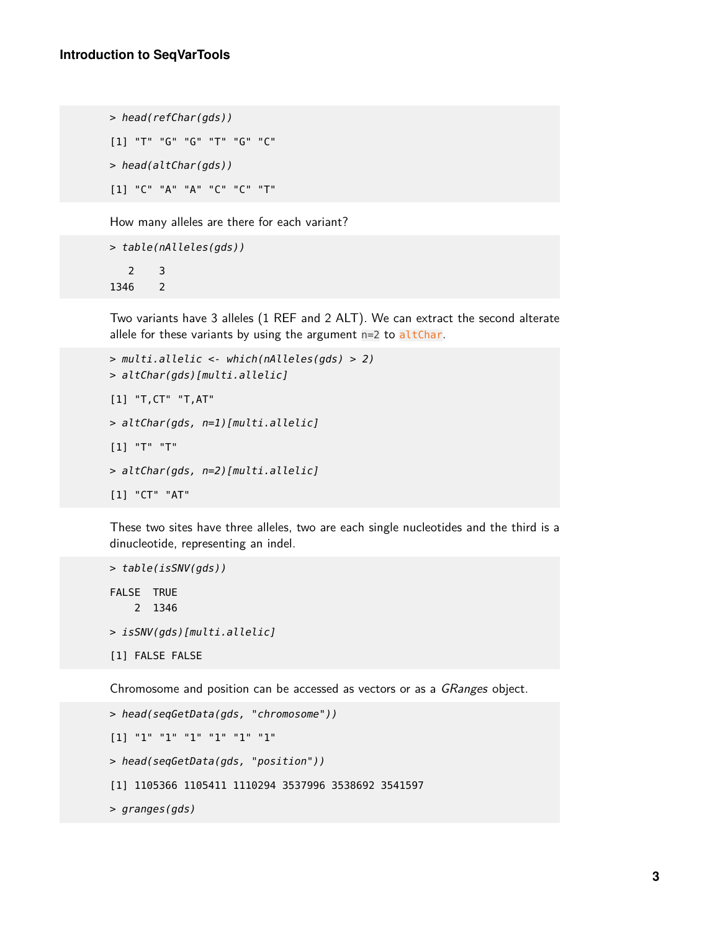```
> head(refChar(gds))
[1] "T" "G" "G" "T" "G" "C"
> head(altChar(gds))
[1] "C" "A" "A" "C" "C" "T"
```
How many alleles are there for each variant?

```
> table(nAlleles(gds))
  2 3
1346 2
```
Two variants have 3 alleles (1 REF and 2 ALT). We can extract the second alterate allele for these variants by using the argument  $n=2$  to altChar.

```
> multi.allelic <- which(nAlleles(gds) > 2)
> altChar(gds)[multi.allelic]
[1] "T,CT" "T,AT"
> altChar(gds, n=1)[multi.allelic]
[1] "T" "T"
> altChar(gds, n=2)[multi.allelic]
[1] "CT" "AT"
```
These two sites have three alleles, two are each single nucleotides and the third is a dinucleotide, representing an indel.

```
> table(isSNV(gds))
FALSE TRUE
    2 1346
> isSNV(gds)[multi.allelic]
[1] FALSE FALSE
```
Chromosome and position can be accessed as vectors or as a GRanges object.

```
> head(seqGetData(gds, "chromosome"))
[1] "1" "1" "1" "1" "1" "1"
> head(seqGetData(gds, "position"))
[1] 1105366 1105411 1110294 3537996 3538692 3541597
> granges(gds)
```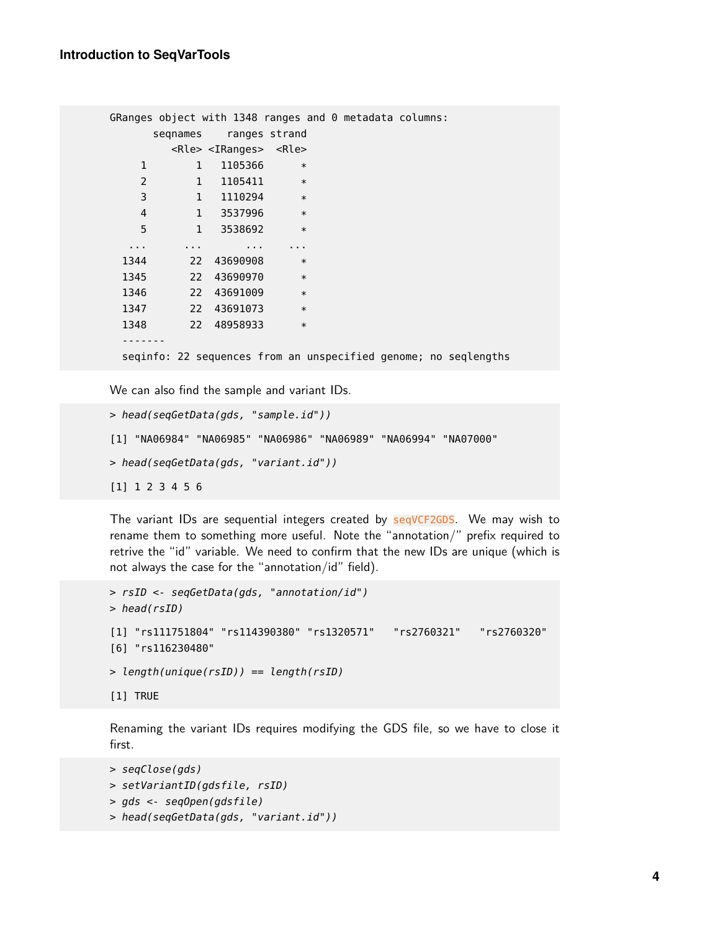```
GRanges object with 1348 ranges and 0 metadata columns:
    seqnames ranges strand
      <Rle> <IRanges> <Rle>
   1 1 1105366 *
   2 1 1105411 *
   3 1 1110294 *
   4 1 3537996 *
   5 1 3538692 *
  ... ... ... ...
 1344 22 43690908 *
 1345 22 43690970 *
 1346 22 43691009 *
 1347 22 43691073 *
 1348 22 48958933 *
 -------
 seqinfo: 22 sequences from an unspecified genome; no seqlengths
```
We can also find the sample and variant IDs.

```
> head(seqGetData(gds, "sample.id"))
[1] "NA06984" "NA06985" "NA06986" "NA06989" "NA06994" "NA07000"
> head(seqGetData(gds, "variant.id"))
[1] 1 2 3 4 5 6
```
The variant IDs are sequential integers created by seqVCF2GDS. We may wish to rename them to something more useful. Note the "annotation/" prefix required to retrive the "id" variable. We need to confirm that the new IDs are unique (which is not always the case for the "annotation/id" field).

```
> rsID <- seqGetData(gds, "annotation/id")
> head(rsID)
[1] "rs111751804" "rs114390380" "rs1320571" "rs2760321" "rs2760320"
[6] "rs116230480"
> length(unique(rsID)) == length(rsID)
[1] TRUE
```
Renaming the variant IDs requires modifying the GDS file, so we have to close it first.

```
> seqClose(gds)
> setVariantID(gdsfile, rsID)
> gds <- seqOpen(gdsfile)
> head(seqGetData(gds, "variant.id"))
```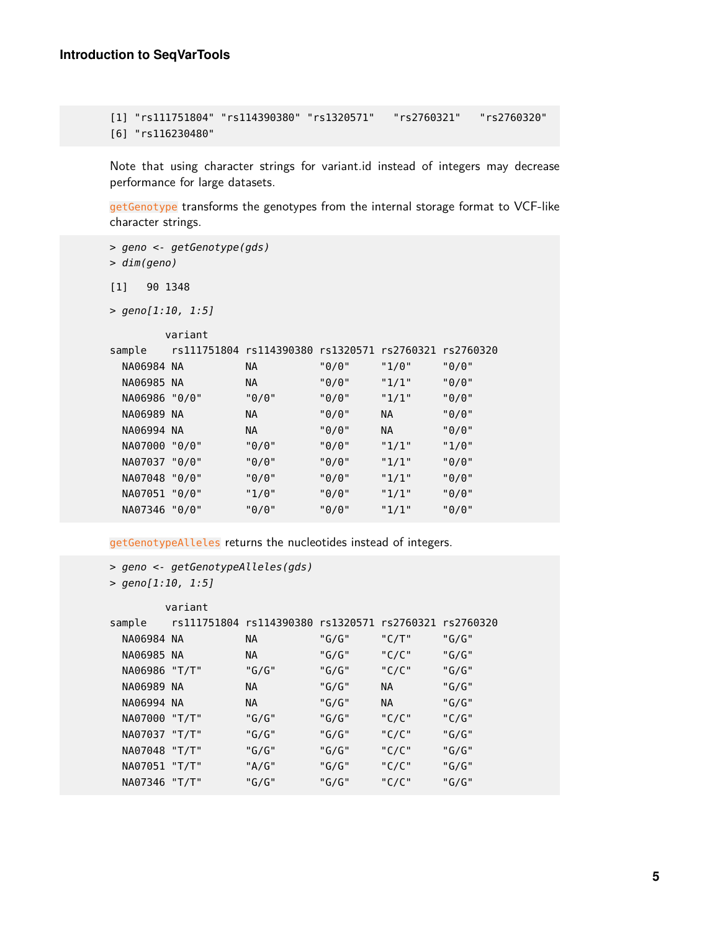```
[1] "rs111751804" "rs114390380" "rs1320571" "rs2760321" "rs2760320"
[6] "rs116230480"
```
Note that using character strings for variant.id instead of integers may decrease performance for large datasets.

getGenotype transforms the genotypes from the internal storage format to VCF-like character strings.

```
> geno <- getGenotype(gds)
> dim(geno)
[1] 90 1348
> geno[1:10, 1:5]
      variant
sample rs111751804 rs114390380 rs1320571 rs2760321 rs2760320
 NA06984 NA NA "0/0" "1/0" "0/0"
 NA06985 NA NA "0/0" "1/1" "0/0"
 NA06986 "0/0" "0/0" "0/0" "1/1" "0/0"
 NA06989 NA NA "0/0" NA "0/0"
 NA06994 NA NA "0/0" NA "0/0"
 NA07000 "0/0" "0/0" "0/0" "1/1" "1/0"
 NA07037 "0/0" "0/0" "0/0" "1/1" "0/0"
 NA07048 "0/0" "0/0" "0/0" "1/1" "0/0"
 NA07051 "0/0" "1/0" "0/0" "1/1" "0/0"
 NA07346 "0/0" "0/0" "0/0" "1/1" "0/0"
```
getGenotypeAlleles returns the nucleotides instead of integers.

```
> geno <- getGenotypeAlleles(gds)
```

```
> geno[1:10, 1:5]
```
<span id="page-4-0"></span>

|               | variant |                                                       |       |       |       |
|---------------|---------|-------------------------------------------------------|-------|-------|-------|
| sample        |         | rs111751804 rs114390380 rs1320571 rs2760321 rs2760320 |       |       |       |
| NA06984 NA    |         | NA.                                                   | "G/G" | "C/T" | "G/G" |
| NA06985 NA    |         | NA                                                    | "G/G" | "C/C" | "G/G" |
| NA06986 "T/T" |         | "G/G"                                                 | "G/G" | "C/C" | "G/G" |
| NA06989 NA    |         | NA.                                                   | "G/G" | NA    | "G/G" |
| NA06994 NA    |         | NA.                                                   | "G/G" | NA.   | "G/G" |
| NA07000 "T/T" |         | " $G/G"$                                              | "G/G" | "C/C" | "C/G" |
| NA07037 "T/T" |         | "G/G"                                                 | "G/G" | "C/C" | "G/G" |
| NA07048 "T/T" |         | "G/G"                                                 | "G/G" | "C/C" | "G/G" |
| NA07051 "T/T" |         | "A/G"                                                 | "G/G" | "C/C" | "G/G" |
| NA07346 "T/T" |         | "G/G"                                                 | "G/G" | "C/C" | "G/G" |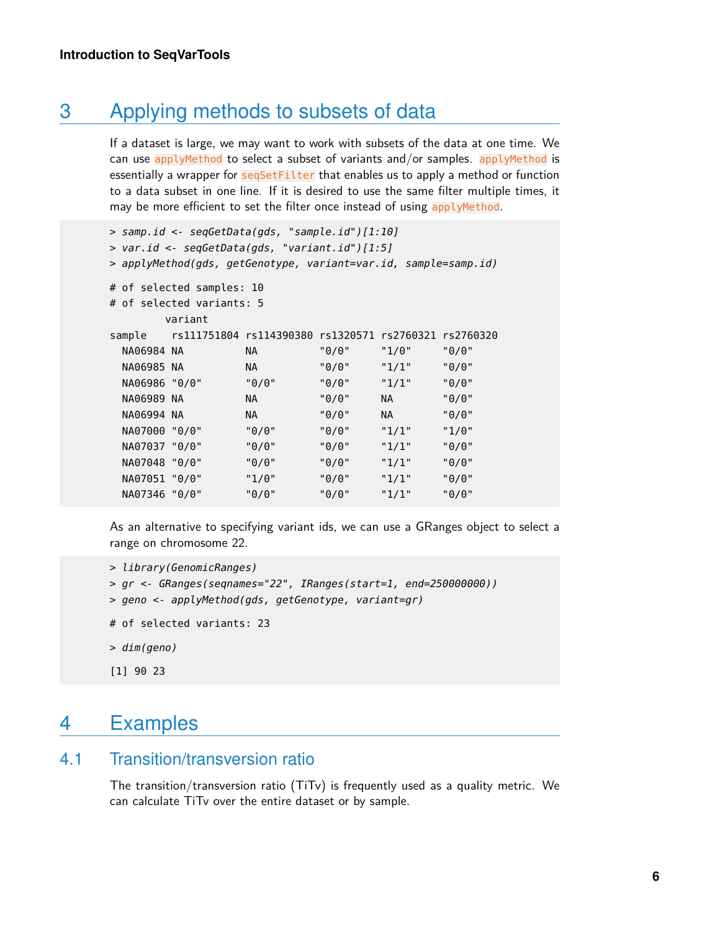## 3 Applying methods to subsets of data

If a dataset is large, we may want to work with subsets of the data at one time. We can use applyMethod to select a subset of variants and/or samples. applyMethod is essentially a wrapper for seqSetFilter that enables us to apply a method or function to a data subset in one line. If it is desired to use the same filter multiple times, it may be more efficient to set the filter once instead of using applyMethod.

```
> samp.id <- seqGetData(gds, "sample.id")[1:10]
> var.id <- seqGetData(gds, "variant.id")[1:5]
> applyMethod(gds, getGenotype, variant=var.id, sample=samp.id)
# of selected samples: 10
# of selected variants: 5
      variant
sample rs111751804 rs114390380 rs1320571 rs2760321 rs2760320
 NA06984 NA NA "0/0" "1/0" "0/0"
 NA06985 NA NA "0/0" "1/1" "0/0"
 NA06986 "0/0" "0/0" "0/0" "1/1" "0/0"
 NA06989 NA NA "0/0" NA "0/0"
 NA06994 NA NA "0/0" NA "0/0"
 NA07000 "0/0" "0/0" "0/0" "1/1" "1/0"
 NA07037 "0/0" "0/0" "0/0" "1/1" "0/0"
 NA07048 "0/0" "0/0" "0/0" "1/1" "0/0"
 NA07051 "0/0" "1/0" "0/0" "1/1" "0/0"
 NA07346 "0/0" "0/0" "0/0" "1/1" "0/0"
```
As an alternative to specifying variant ids, we can use a GRanges object to select a range on chromosome 22.

```
> library(GenomicRanges)
```

```
> gr <- GRanges(seqnames="22", IRanges(start=1, end=250000000))
```
- > geno <- applyMethod(gds, getGenotype, variant=gr)
- # of selected variants: 23
- > dim(geno)
- <span id="page-5-0"></span>[1] 90 23

## 4 Examples

#### 4.1 Transition/transversion ratio

<span id="page-5-1"></span>The transition/transversion ratio (TiTv) is frequently used as a quality metric. We can calculate TiTv over the entire dataset or by sample.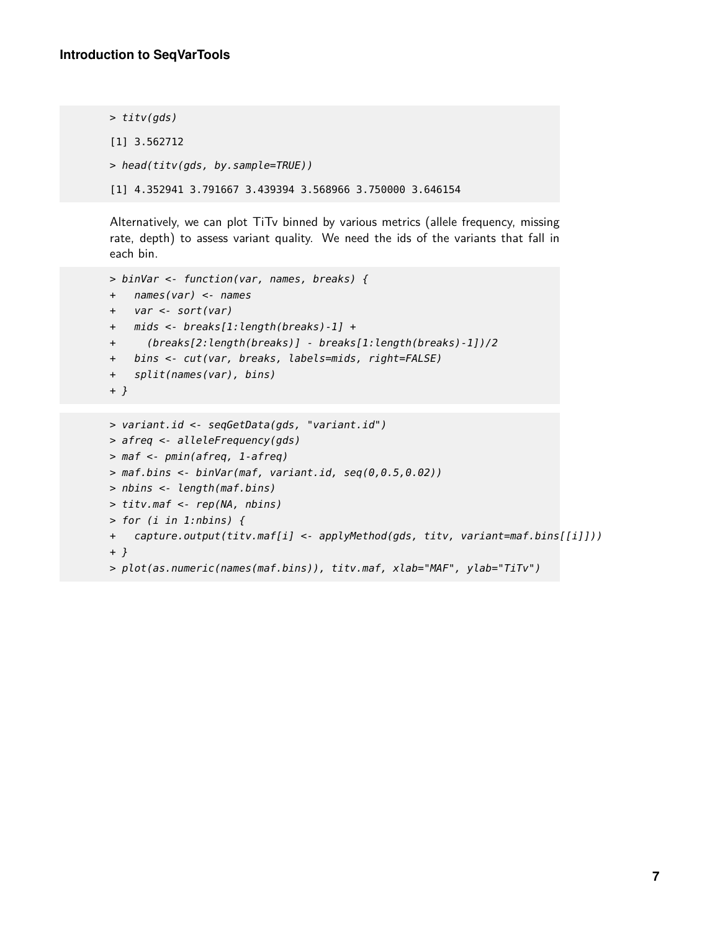```
> titv(gds)
[1] 3.562712
> head(titv(gds, by.sample=TRUE))
[1] 4.352941 3.791667 3.439394 3.568966 3.750000 3.646154
```
Alternatively, we can plot TiTv binned by various metrics (allele frequency, missing rate, depth) to assess variant quality. We need the ids of the variants that fall in each bin.

```
> binVar <- function(var, names, breaks) {
+ names(var) <- names
+ var <- sort(var)
+ mids <- breaks[1:length(breaks)-1] +
+ (breaks[2:length(breaks)] - breaks[1:length(breaks)-1])/2
+ bins <- cut(var, breaks, labels=mids, right=FALSE)
+ split(names(var), bins)
+ }
```

```
> variant.id <- seqGetData(gds, "variant.id")
> afreq <- alleleFrequency(gds)
> maf <- pmin(afreq, 1-afreq)
> maf.bins <- binVar(maf, variant.id, seq(0,0.5,0.02))
> nbins <- length(maf.bins)
> titv.maf <- rep(NA, nbins)
> for (i in 1:nbins) {
+ capture.output(titv.maf[i] <- applyMethod(gds, titv, variant=maf.bins[[i]]))
+ }
> plot(as.numeric(names(maf.bins)), titv.maf, xlab="MAF", ylab="TiTv")
```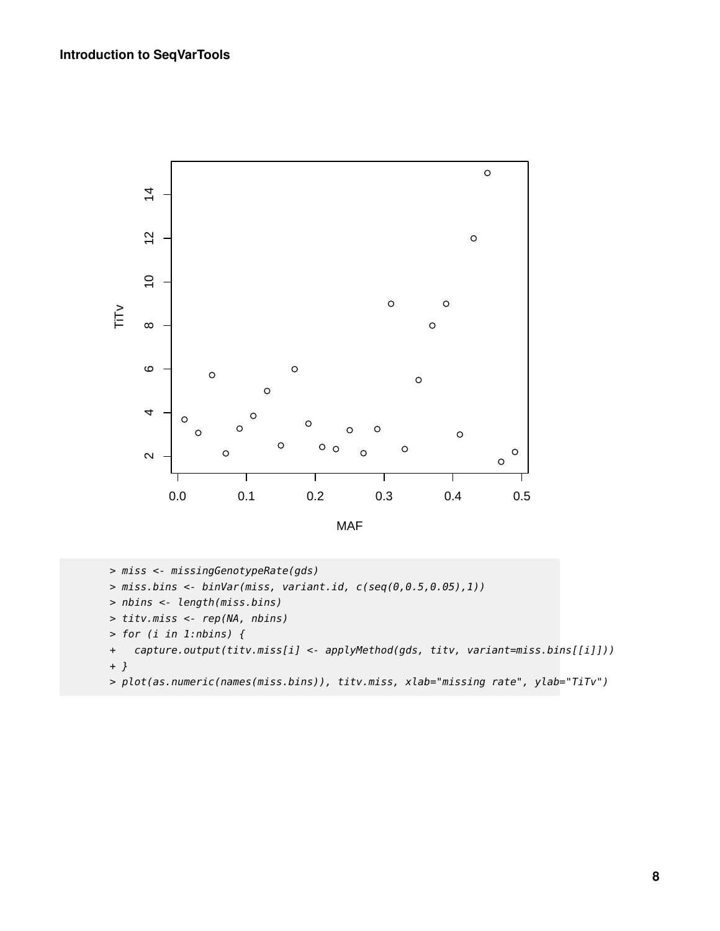

> miss <- missingGenotypeRate(gds)

```
> miss.bins <- binVar(miss, variant.id, c(seq(0,0.5,0.05),1))
```

```
> nbins <- length(miss.bins)
```
- > titv.miss <- rep(NA, nbins)
- > for (i in 1:nbins) {
- + capture.output(titv.miss[i] <- applyMethod(gds, titv, variant=miss.bins[[i]])) + }
- > plot(as.numeric(names(miss.bins)), titv.miss, xlab="missing rate", ylab="TiTv")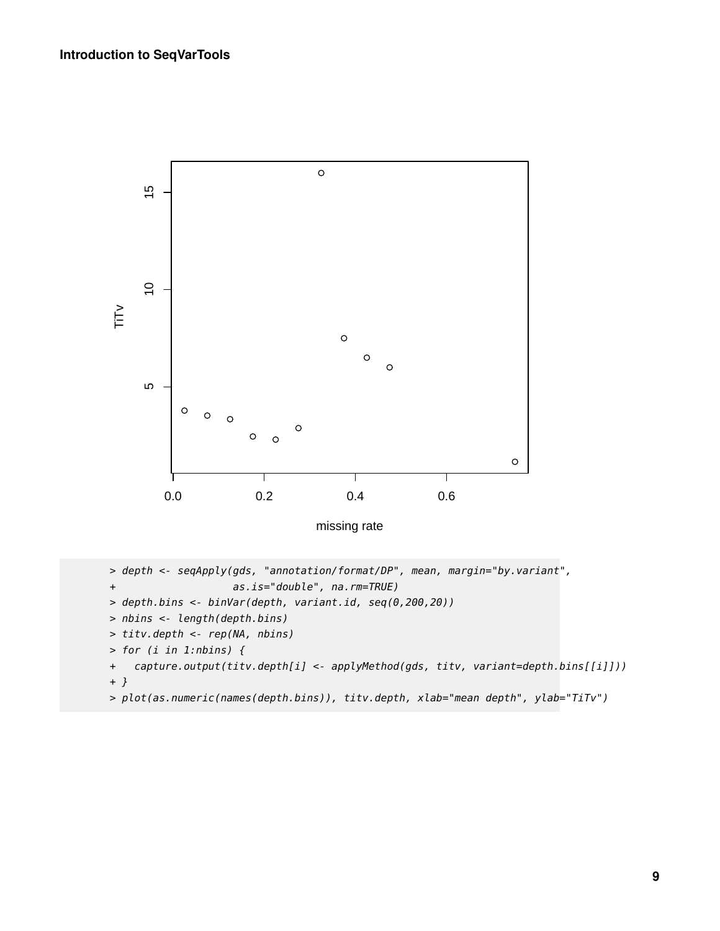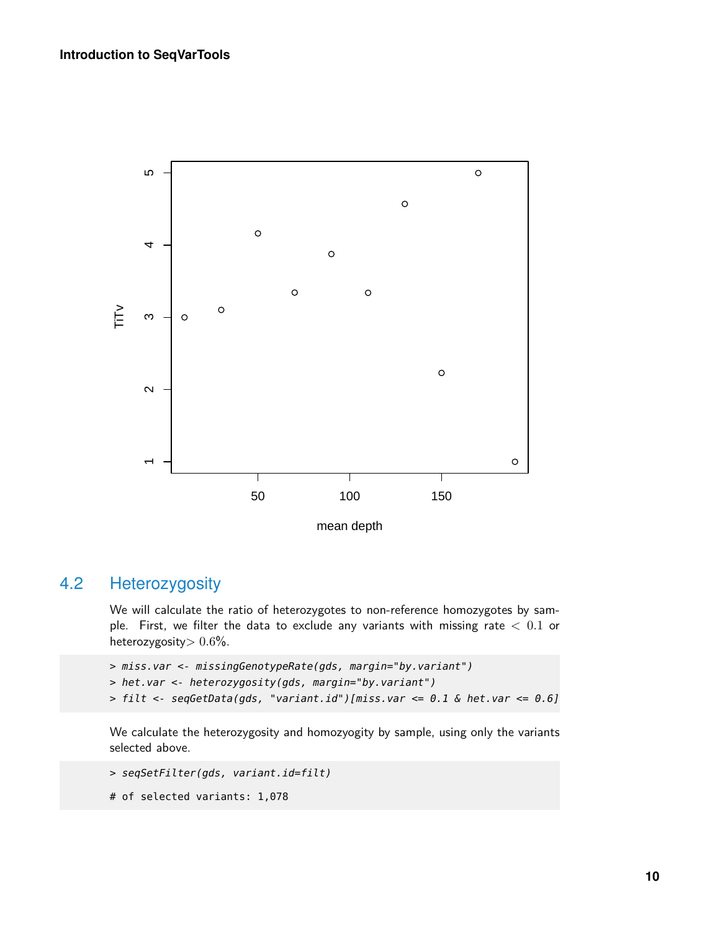

### 4.2 Heterozygosity

<span id="page-9-0"></span>We will calculate the ratio of heterozygotes to non-reference homozygotes by sample. First, we filter the data to exclude any variants with missing rate  $< 0.1$  or heterozygosity $> 0.6\%$ .

```
> miss.var <- missingGenotypeRate(gds, margin="by.variant")
> het.var <- heterozygosity(gds, margin="by.variant")
> filt <- seqGetData(gds, "variant.id")[miss.var <= 0.1 & het.var <= 0.6]
```
We calculate the heterozygosity and homozyogity by sample, using only the variants selected above.

```
> seqSetFilter(gds, variant.id=filt)
```

```
# of selected variants: 1,078
```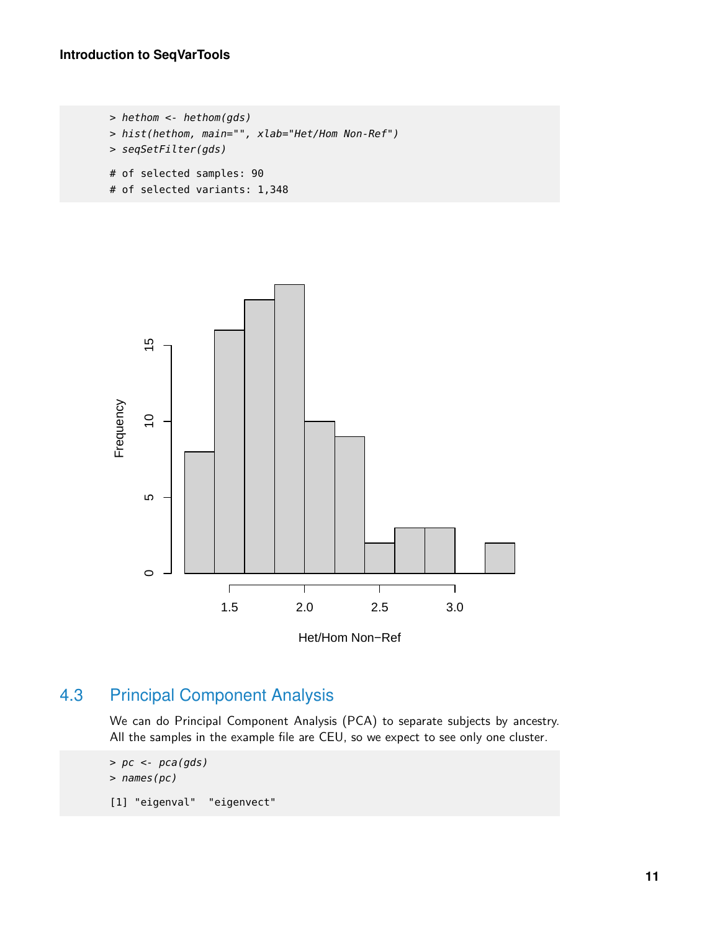```
> hethom <- hethom(gds)
> hist(hethom, main="", xlab="Het/Hom Non-Ref")
> seqSetFilter(gds)
# of selected samples: 90
# of selected variants: 1,348
```


## 4.3 Principal Component Analysis

<span id="page-10-0"></span>We can do Principal Component Analysis (PCA) to separate subjects by ancestry. All the samples in the example file are CEU, so we expect to see only one cluster.

> pc <- pca(gds) > names(pc)

[1] "eigenval" "eigenvect"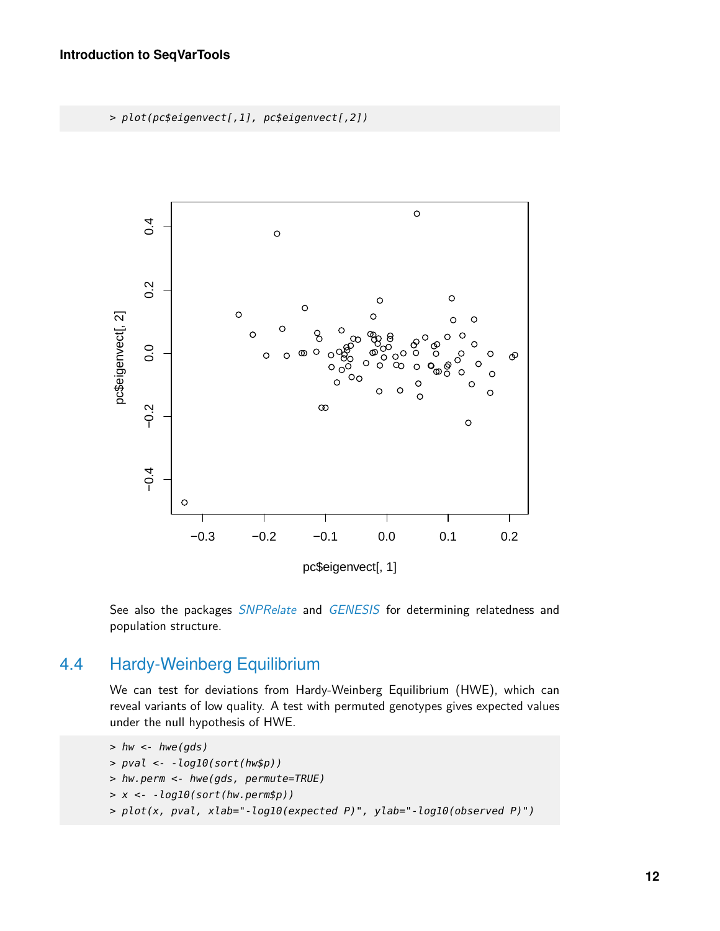> plot(pc\$eigenvect[,1], pc\$eigenvect[,2])



<span id="page-11-0"></span>See also the packages *[SNPRelate](http://bioconductor.org/packages/SNPRelate)* and *[GENESIS](http://bioconductor.org/packages/GENESIS)* for determining relatedness and population structure.

### 4.4 Hardy-Weinberg Equilibrium

We can test for deviations from Hardy-Weinberg Equilibrium (HWE), which can reveal variants of low quality. A test with permuted genotypes gives expected values under the null hypothesis of HWE.

```
> hw <-hwe(gds)> pval <- -log10(sort(hw$p))
> hw.perm <- hwe(gds, permute=TRUE)
> x <- -log10(sort(hw.perm$p))
> plot(x, pval, xlab="-log10(expected P)", ylab="-log10(observed P)")
```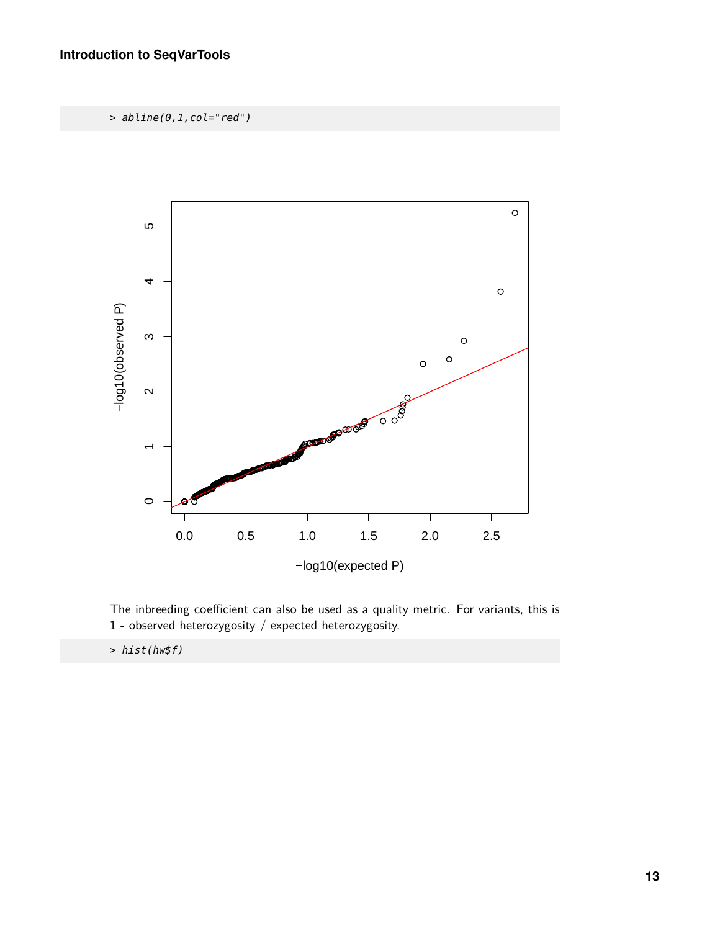> abline(0,1,col="red")



The inbreeding coefficient can also be used as a quality metric. For variants, this is 1 - observed heterozygosity / expected heterozygosity.

> hist(hw\$f)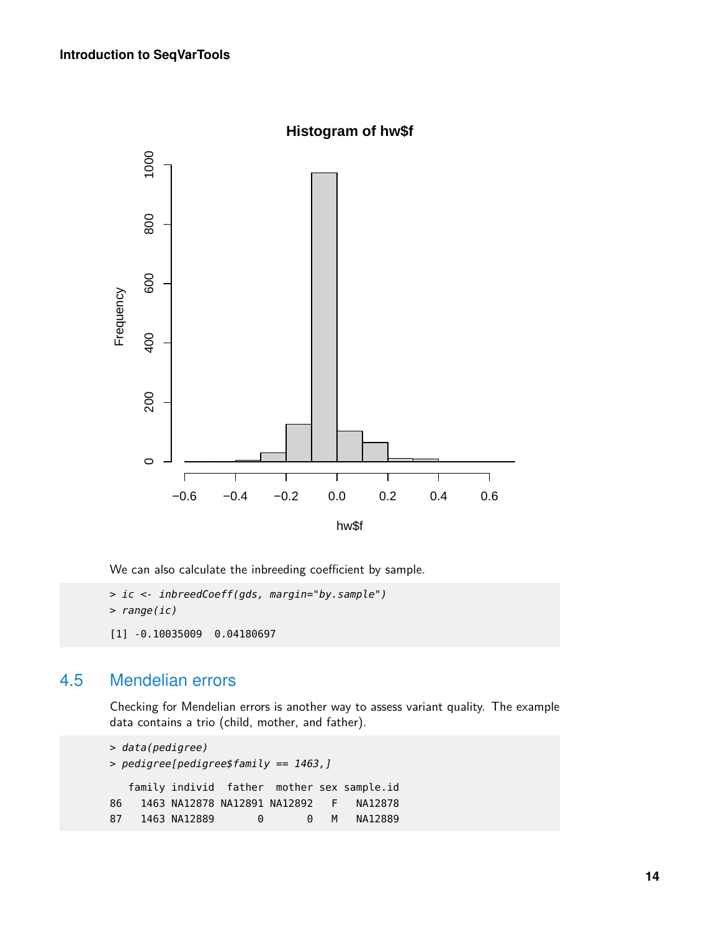

We can also calculate the inbreeding coefficient by sample.

```
> ic <- inbreedCoeff(gds, margin="by.sample")
> range(ic)
[1] -0.10035009 0.04180697
```
### 4.5 Mendelian errors

<span id="page-13-0"></span>Checking for Mendelian errors is another way to assess variant quality. The example data contains a trio (child, mother, and father).

```
> data(pedigree)
> pedigree[pedigree$family == 1463,]
  family individ father mother sex sample.id
86 1463 NA12878 NA12891 NA12892 F NA12878
87 1463 NA12889 0 0 M NA12889
```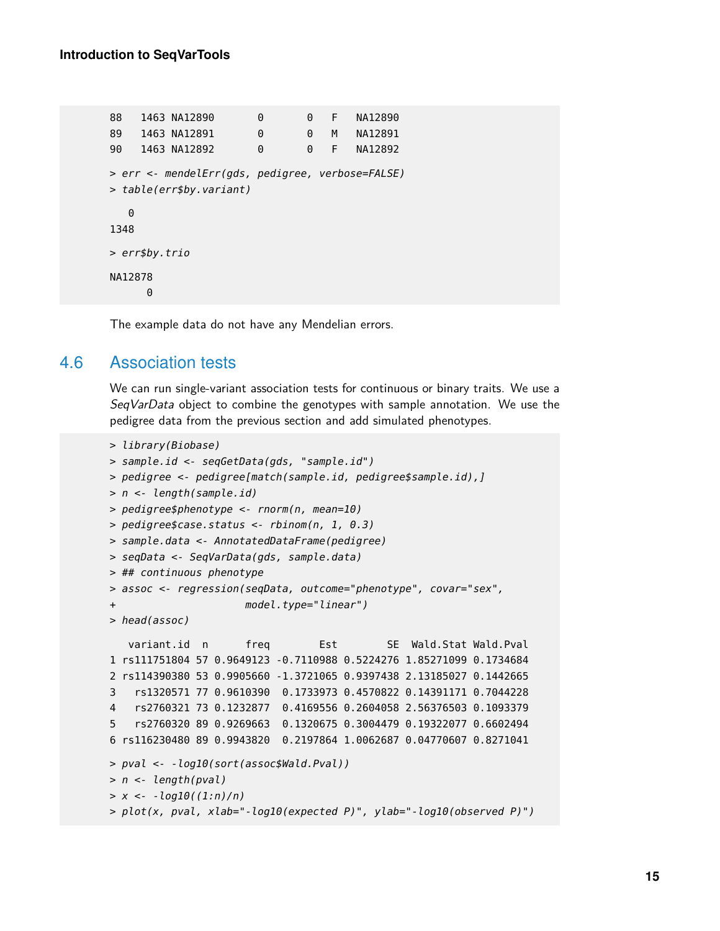88 1463 NA12890 0 0 F NA12890 89 1463 NA12891 0 0 M NA12891 90 1463 NA12892 0 0 F NA12892 > err <- mendelErr(gds, pedigree, verbose=FALSE) > table(err\$by.variant)  $\Theta$ 1348 > err\$by.trio NA12878  $\Theta$ 

<span id="page-14-0"></span>The example data do not have any Mendelian errors.

#### 4.6 Association tests

We can run single-variant association tests for continuous or binary traits. We use a SeqVarData object to combine the genotypes with sample annotation. We use the pedigree data from the previous section and add simulated phenotypes.

```
> library(Biobase)
> sample.id <- seqGetData(gds, "sample.id")
> pedigree <- pedigree[match(sample.id, pedigree$sample.id),]
> n <- length(sample.id)
> pedigree$phenotype <- rnorm(n, mean=10)
> pedigree$case.status <- rbinom(n, 1, 0.3)
> sample.data <- AnnotatedDataFrame(pedigree)
> seqData <- SeqVarData(gds, sample.data)
> ## continuous phenotype
> assoc <- regression(seqData, outcome="phenotype", covar="sex",
+ model.type="linear")
> head(assoc)
   variant.id n freq Fist SE Wald.Stat Wald.Pval
1 rs111751804 57 0.9649123 -0.7110988 0.5224276 1.85271099 0.1734684
2 rs114390380 53 0.9905660 -1.3721065 0.9397438 2.13185027 0.1442665
3 rs1320571 77 0.9610390 0.1733973 0.4570822 0.14391171 0.7044228
4 rs2760321 73 0.1232877 0.4169556 0.2604058 2.56376503 0.1093379
5 rs2760320 89 0.9269663 0.1320675 0.3004479 0.19322077 0.6602494
6 rs116230480 89 0.9943820 0.2197864 1.0062687 0.04770607 0.8271041
> pval <- -log10(sort(assoc$Wald.Pval))
> n <- length(pval)
> x < -log 10((1:n)/n)> plot(x, pval, xlab="-log10(expected P)", ylab="-log10(observed P)")
```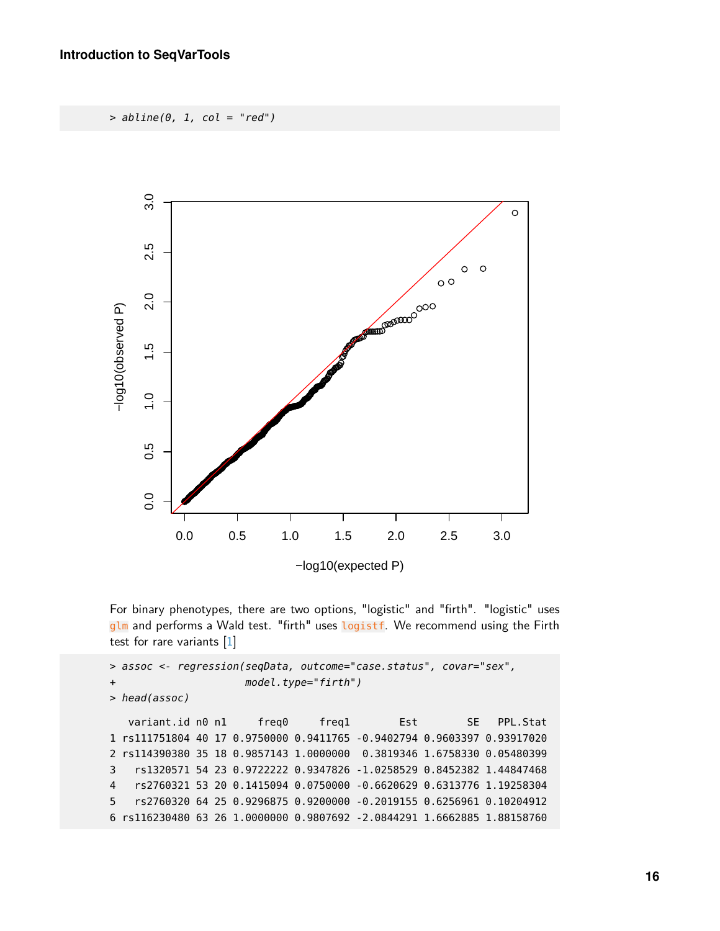$> abline(0, 1, col = "red")$ 



For binary phenotypes, there are two options, "logistic" and "firth". "logistic" uses glm and performs a Wald test. "firth" uses logistf. We recommend using the Firth test for rare variants [\[1\]](#page-17-0)

```
> assoc <- regression(seqData, outcome="case.status", covar="sex",
+ model.type="firth")
> head(assoc)
  variant.id n0 n1 freq0 freq1 Est SE PPL.Stat
1 rs111751804 40 17 0.9750000 0.9411765 -0.9402794 0.9603397 0.93917020
2 rs114390380 35 18 0.9857143 1.0000000 0.3819346 1.6758330 0.05480399
3 rs1320571 54 23 0.9722222 0.9347826 -1.0258529 0.8452382 1.44847468
4 rs2760321 53 20 0.1415094 0.0750000 -0.6620629 0.6313776 1.19258304
5 rs2760320 64 25 0.9296875 0.9200000 -0.2019155 0.6256961 0.10204912
6 rs116230480 63 26 1.0000000 0.9807692 -2.0844291 1.6662885 1.88158760
```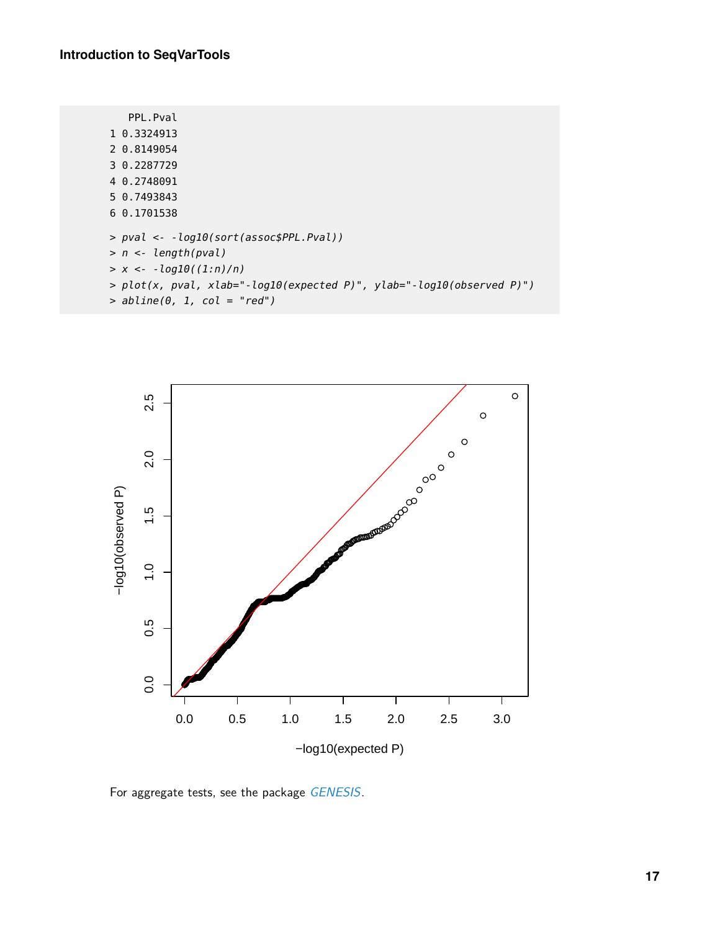| PPL.Pval                                                              |
|-----------------------------------------------------------------------|
| 1 0.3324913                                                           |
| 2 0.8149054                                                           |
| 3 0.2287729                                                           |
| 4 0.2748091                                                           |
| 5 0.7493843                                                           |
| 6 0.1701538                                                           |
| > pval <- -log10(sort(assoc\$PPL.Pval))                               |
| $> n <$ - length(pval)                                                |
| $> x < -log 10((1:n)/n)$                                              |
| > plot(x, pval, xlab="-log10(expected P)", ylab="-log10(observed P)") |
| $>$ abline(0, 1, col = "red")                                         |



For aggregate tests, see the package [GENESIS](http://bioconductor.org/packages/GENESIS).